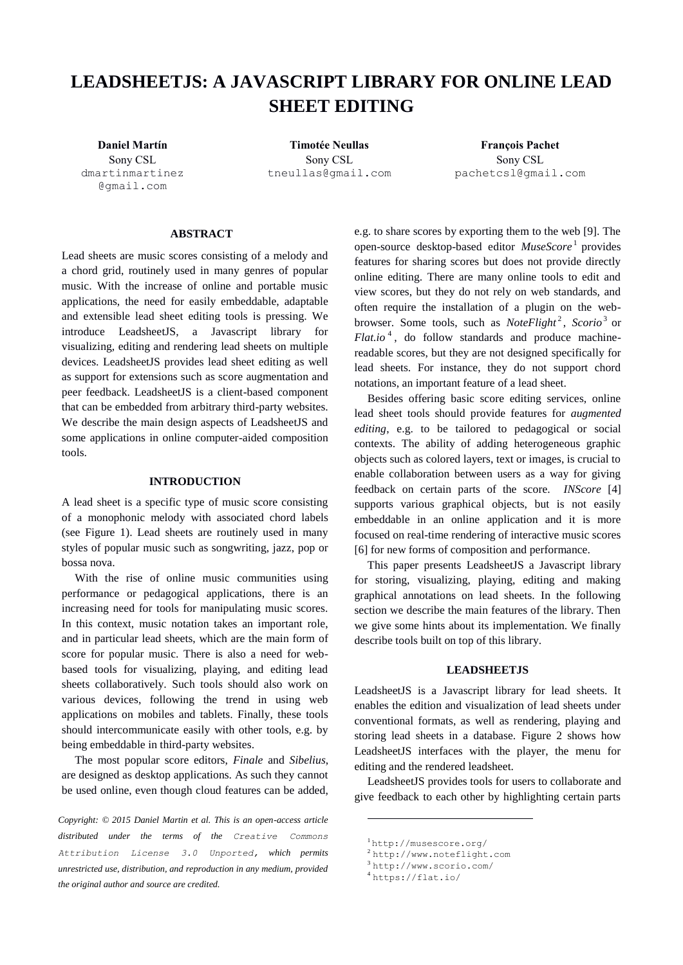# **LEADSHEETJS: A JAVASCRIPT LIBRARY FOR ONLINE LEAD SHEET EDITING**

Sony CSL dmartinmartinez @gmail.com

Sony CSL tneullas@gmail.com

**Daniel Martín Timotée Neullas François Pachet** Sony CSL [pachetcsl@gmail.com](mailto:pachetcsl@gmail.com)

# **ABSTRACT**

Lead sheets are music scores consisting of a melody and a chord grid, routinely used in many genres of popular music. With the increase of online and portable music applications, the need for easily embeddable, adaptable and extensible lead sheet editing tools is pressing. We introduce LeadsheetJS, a Javascript library for visualizing, editing and rendering lead sheets on multiple devices. LeadsheetJS provides lead sheet editing as well as support for extensions such as score augmentation and peer feedback. LeadsheetJS is a client-based component that can be embedded from arbitrary third-party websites. We describe the main design aspects of LeadsheetJS and some applications in online computer-aided composition tools.

# **INTRODUCTION**

A lead sheet is a specific type of music score consisting of a monophonic melody with associated chord labels (see Figure 1). Lead sheets are routinely used in many styles of popular music such as songwriting, jazz, pop or bossa nova.

With the rise of online music communities using performance or pedagogical applications, there is an increasing need for tools for manipulating music scores. In this context, music notation takes an important role, and in particular lead sheets, which are the main form of score for popular music. There is also a need for webbased tools for visualizing, playing, and editing lead sheets collaboratively. Such tools should also work on various devices, following the trend in using web applications on mobiles and tablets. Finally, these tools should intercommunicate easily with other tools, e.g. by being embeddable in third-party websites.

The most popular score editors, *Finale* and *Sibelius*, are designed as desktop applications. As such they cannot be used online, even though cloud features can be added,

*Copyright: © 2015 Daniel Martin et al. This is an open-access article distributed under the terms of the [Creative Commons](http://creativecommons.org/licenses/by/3.0/)  [Attribution License 3.0 Unported,](http://creativecommons.org/licenses/by/3.0/) which permits unrestricted use, distribution, and reproduction in any medium, provided the original author and source are credited.*

e.g. to share scores by exporting them to the web [9]. The open-source desktop-based editor *MuseScore*<sup>1</sup> provides features for sharing scores but does not provide directly online editing. There are many online tools to edit and view scores, but they do not rely on web standards, and often require the installation of a plugin on the webbrowser. Some tools, such as *NoteFlight<sup>2</sup>*, *Scorio*<sup>3</sup> or  $Flat.io<sup>4</sup>$ , do follow standards and produce machinereadable scores, but they are not designed specifically for lead sheets. For instance, they do not support chord notations, an important feature of a lead sheet.

Besides offering basic score editing services, online lead sheet tools should provide features for *augmented editing*, e.g. to be tailored to pedagogical or social contexts. The ability of adding heterogeneous graphic objects such as colored layers, text or images, is crucial to enable collaboration between users as a way for giving feedback on certain parts of the score. *INScore* [4] supports various graphical objects, but is not easily embeddable in an online application and it is more focused on real-time rendering of interactive music scores [6] for new forms of composition and performance.

This paper presents LeadsheetJS a Javascript library for storing, visualizing, playing, editing and making graphical annotations on lead sheets. In the following section we describe the main features of the library. Then we give some hints about its implementation. We finally describe tools built on top of this library.

# **LEADSHEETJS**

LeadsheetJS is a Javascript library for lead sheets. It enables the edition and visualization of lead sheets under conventional formats, as well as rendering, playing and storing lead sheets in a database. Figure 2 shows how LeadsheetJS interfaces with the player, the menu for editing and the rendered leadsheet.

LeadsheetJS provides tools for users to collaborate and give feedback to each other by highlighting certain parts

<sup>1</sup> <http://musescore.org/>

<sup>2</sup> [http://www.noteflight.com](http://www.noteflight.com/)

<sup>3</sup> <http://www.scorio.com/>

<sup>4</sup> <https://flat.io/>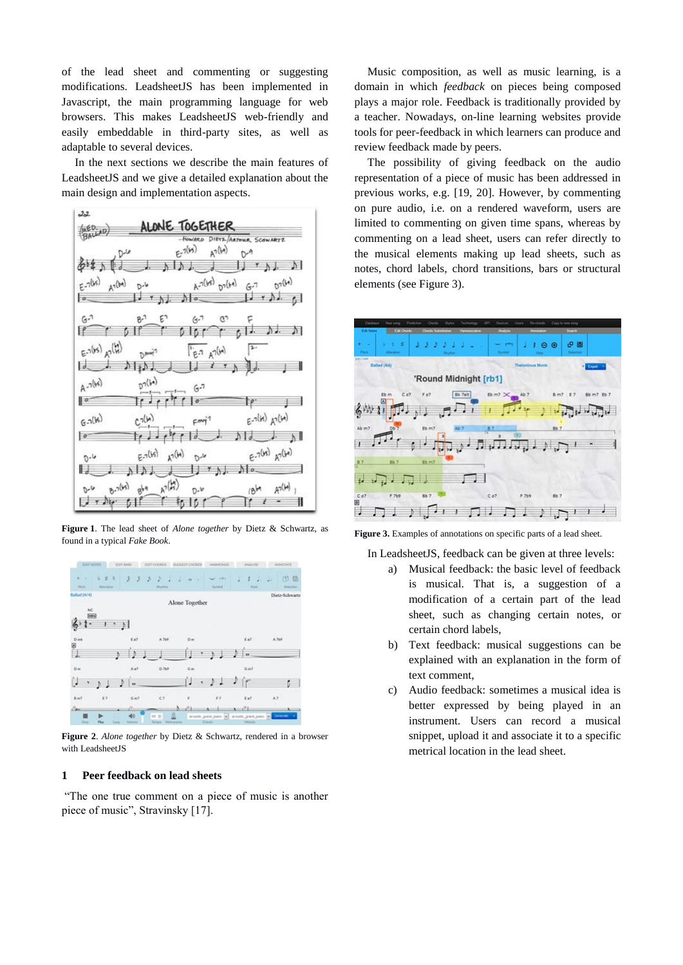of the lead sheet and commenting or suggesting modifications. LeadsheetJS has been implemented in Javascript, the main programming language for web browsers. This makes LeadsheetJS web-friendly and easily embeddable in third-party sites, as well as adaptable to several devices.

In the next sections we describe the main features of LeadsheetJS and we give a detailed explanation about the main design and implementation aspects.



**Figure 1**. The lead sheet of *Alone together* by Dietz & Schwartz, as found in a typical *Fake Book*.



**Figure 2**. *Alone together* by Dietz & Schwartz, rendered in a browser with LeadsheetJS

# **1 Peer feedback on lead sheets**

"The one true comment on a piece of music is another piece of music", Stravinsky [17].

Music composition, as well as music learning, is a domain in which *feedback* on pieces being composed plays a major role. Feedback is traditionally provided by a teacher. Nowadays, on-line learning websites provide tools for peer-feedback in which learners can produce and review feedback made by peers.

The possibility of giving feedback on the audio representation of a piece of music has been addressed in previous works, e.g. [19, 20]. However, by commenting on pure audio, i.e. on a rendered waveform, users are limited to commenting on given time spans, whereas by commenting on a lead sheet, users can refer directly to the musical elements making up lead sheets, such as notes, chord labels, chord transitions, bars or structural elements (see Figure 3).



**Figure 3.** Examples of annotations on specific parts of a lead sheet.

In LeadsheetJS, feedback can be given at three levels:

- a) Musical feedback: the basic level of feedback is musical. That is, a suggestion of a modification of a certain part of the lead sheet, such as changing certain notes, or certain chord labels,
- b) Text feedback: musical suggestions can be explained with an explanation in the form of text comment,
- c) Audio feedback: sometimes a musical idea is better expressed by being played in an instrument. Users can record a musical snippet, upload it and associate it to a specific metrical location in the lead sheet.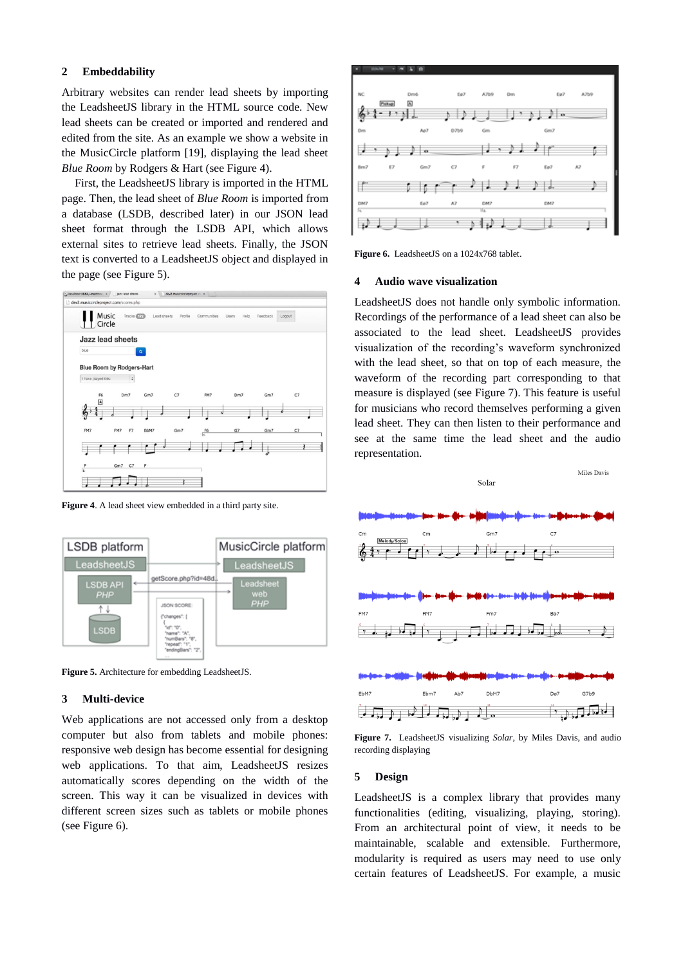# **2 Embeddability**

Arbitrary websites can render lead sheets by importing the LeadsheetJS library in the HTML source code. New lead sheets can be created or imported and rendered and edited from the site. As an example we show a website in the MusicCircle platform [19], displaying the lead sheet *Blue Room* by Rodgers & Hart (see Figure 4).

First, the LeadsheetJS library is imported in the HTML page. Then, the lead sheet of *Blue Room* is imported from a database (LSDB, described later) in our JSON lead sheet format through the LSDB API, which allows external sites to retrieve lead sheets. Finally, the JSON text is converted to a LeadsheetJS object and displayed in the page (see Figure 5).



**Figure 4**. A lead sheet view embedded in a third party site.



**Figure 5.** Architecture for embedding LeadsheetJS.

# **3 Multi-device**

Web applications are not accessed only from a desktop computer but also from tablets and mobile phones: responsive web design has become essential for designing web applications. To that aim, LeadsheetJS resizes automatically scores depending on the width of the screen. This way it can be visualized in devices with different screen sizes such as tablets or mobile phones (see Figure 6).



**Figure 6.** LeadsheetJS on a 1024x768 tablet.

#### **4 Audio wave visualization**

LeadsheetJS does not handle only symbolic information. Recordings of the performance of a lead sheet can also be associated to the lead sheet. LeadsheetJS provides visualization of the recording's waveform synchronized with the lead sheet, so that on top of each measure, the waveform of the recording part corresponding to that measure is displayed (see Figure 7). This feature is useful for musicians who record themselves performing a given lead sheet. They can then listen to their performance and see at the same time the lead sheet and the audio representation.



**Figure 7.** LeadsheetJS visualizing *Solar*, by Miles Davis, and audio recording displaying

#### **5 Design**

LeadsheetJS is a complex library that provides many functionalities (editing, visualizing, playing, storing). From an architectural point of view, it needs to be maintainable, scalable and extensible. Furthermore, modularity is required as users may need to use only certain features of LeadsheetJS. For example, a music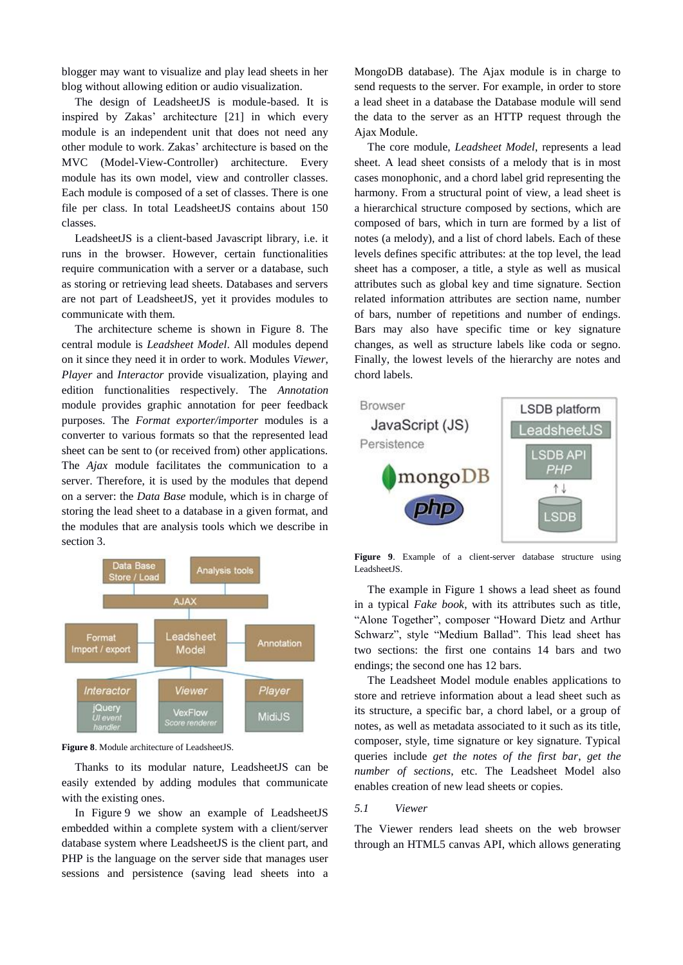blogger may want to visualize and play lead sheets in her blog without allowing edition or audio visualization.

The design of LeadsheetJS is module-based. It is inspired by Zakas' architecture [21] in which every module is an independent unit that does not need any other module to work. Zakas' architecture is based on the MVC (Model-View-Controller) architecture. Every module has its own model, view and controller classes. Each module is composed of a set of classes. There is one file per class. In total LeadsheetJS contains about 150 classes.

LeadsheetJS is a client-based Javascript library, i.e. it runs in the browser. However, certain functionalities require communication with a server or a database, such as storing or retrieving lead sheets. Databases and servers are not part of LeadsheetJS, yet it provides modules to communicate with them.

The architecture scheme is shown in Figure 8. The central module is *Leadsheet Model*. All modules depend on it since they need it in order to work. Modules *Viewer*, *Player* and *Interactor* provide visualization, playing and edition functionalities respectively. The *Annotation* module provides graphic annotation for peer feedback purposes. The *Format exporter/importer* modules is a converter to various formats so that the represented lead sheet can be sent to (or received from) other applications. The *Ajax* module facilitates the communication to a server. Therefore, it is used by the modules that depend on a server: the *Data Base* module, which is in charge of storing the lead sheet to a database in a given format, and the modules that are analysis tools which we describe in section 3.



**Figure 8**. Module architecture of LeadsheetJS.

Thanks to its modular nature, LeadsheetJS can be easily extended by adding modules that communicate with the existing ones.

In Figure 9 we show an example of LeadsheetJS embedded within a complete system with a client/server database system where LeadsheetJS is the client part, and PHP is the language on the server side that manages user sessions and persistence (saving lead sheets into a MongoDB database). The Ajax module is in charge to send requests to the server. For example, in order to store a lead sheet in a database the Database module will send the data to the server as an HTTP request through the Ajax Module.

The core module, *Leadsheet Model*, represents a lead sheet. A lead sheet consists of a melody that is in most cases monophonic, and a chord label grid representing the harmony. From a structural point of view, a lead sheet is a hierarchical structure composed by sections, which are composed of bars, which in turn are formed by a list of notes (a melody), and a list of chord labels. Each of these levels defines specific attributes: at the top level, the lead sheet has a composer, a title, a style as well as musical attributes such as global key and time signature. Section related information attributes are section name, number of bars, number of repetitions and number of endings. Bars may also have specific time or key signature changes, as well as structure labels like coda or segno. Finally, the lowest levels of the hierarchy are notes and chord labels.



**Figure 9**. Example of a client-server database structure using LeadsheetJS.

The example in Figure 1 shows a lead sheet as found in a typical *Fake book*, with its attributes such as title, "Alone Together", composer "Howard Dietz and Arthur Schwarz", style "Medium Ballad". This lead sheet has two sections: the first one contains 14 bars and two endings; the second one has 12 bars.

The Leadsheet Model module enables applications to store and retrieve information about a lead sheet such as its structure, a specific bar, a chord label, or a group of notes, as well as metadata associated to it such as its title, composer, style, time signature or key signature. Typical queries include *get the notes of the first bar*, *get the number of sections*, etc. The Leadsheet Model also enables creation of new lead sheets or copies.

# *5.1 Viewer*

The Viewer renders lead sheets on the web browser through an HTML5 canvas API, which allows generating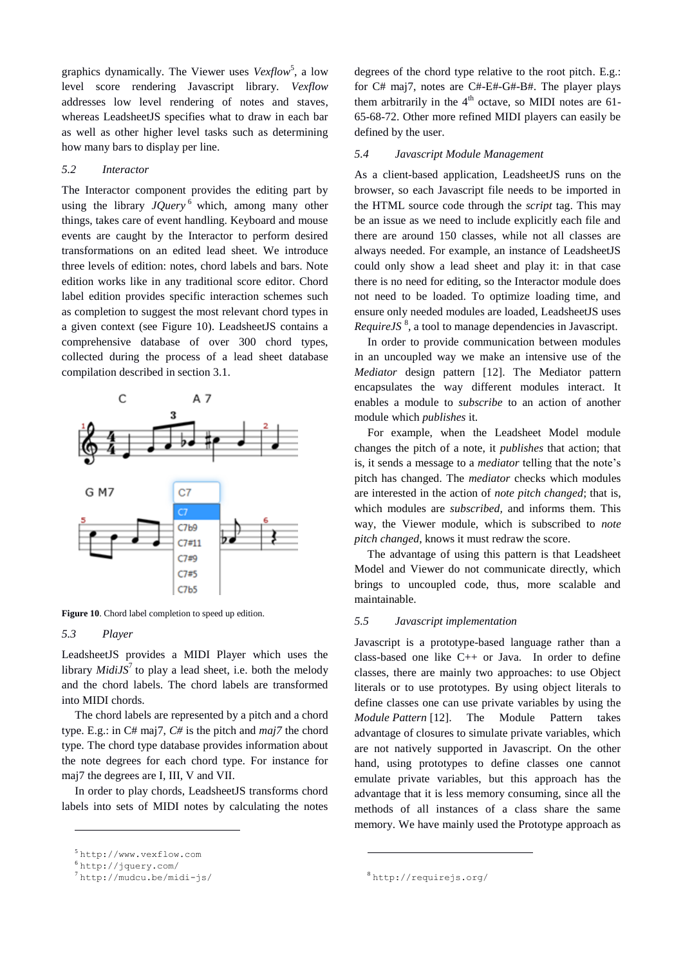graphics dynamically. The Viewer uses *Vexflow*<sup>5</sup>, a low level score rendering Javascript library. *Vexflow* addresses low level rendering of notes and staves, whereas LeadsheetJS specifies what to draw in each bar as well as other higher level tasks such as determining how many bars to display per line.

### *5.2 Interactor*

The Interactor component provides the editing part by using the library  $JQuery^6$  which, among many other things, takes care of event handling. Keyboard and mouse events are caught by the Interactor to perform desired transformations on an edited lead sheet. We introduce three levels of edition: notes, chord labels and bars. Note edition works like in any traditional score editor. Chord label edition provides specific interaction schemes such as completion to suggest the most relevant chord types in a given context (see Figure 10). LeadsheetJS contains a comprehensive database of over 300 chord types, collected during the process of a lead sheet database compilation described in section 3.1.



Figure 10. Chord label completion to speed up edition.

# *5.3 Player*

 $\overline{a}$ 

LeadsheetJS provides a MIDI Player which uses the library  $MidiJS^7$  to play a lead sheet, i.e. both the melody and the chord labels. The chord labels are transformed into MIDI chords.

The chord labels are represented by a pitch and a chord type. E.g.: in C# maj7, *C#* is the pitch and *maj7* the chord type. The chord type database provides information about the note degrees for each chord type. For instance for maj7 the degrees are I, III, V and VII.

In order to play chords, LeadsheetJS transforms chord labels into sets of MIDI notes by calculating the notes

degrees of the chord type relative to the root pitch. E.g.: for C# maj7, notes are C#-E#-G#-B#. The player plays them arbitrarily in the  $4<sup>th</sup>$  octave, so MIDI notes are 61-65-68-72. Other more refined MIDI players can easily be defined by the user.

# *5.4 Javascript Module Management*

As a client-based application, LeadsheetJS runs on the browser, so each Javascript file needs to be imported in the HTML source code through the *script* tag. This may be an issue as we need to include explicitly each file and there are around 150 classes, while not all classes are always needed. For example, an instance of LeadsheetJS could only show a lead sheet and play it: in that case there is no need for editing, so the Interactor module does not need to be loaded. To optimize loading time, and ensure only needed modules are loaded, LeadsheetJS uses *RequireJS*<sup>8</sup>, a tool to manage dependencies in Javascript.

In order to provide communication between modules in an uncoupled way we make an intensive use of the *Mediator* design pattern [12]. The Mediator pattern encapsulates the way different modules interact. It enables a module to *subscribe* to an action of another module which *publishes* it.

For example, when the Leadsheet Model module changes the pitch of a note, it *publishes* that action; that is, it sends a message to a *mediator* telling that the note's pitch has changed. The *mediator* checks which modules are interested in the action of *note pitch changed*; that is, which modules are *subscribed,* and informs them. This way, the Viewer module, which is subscribed to *note pitch changed*, knows it must redraw the score.

The advantage of using this pattern is that Leadsheet Model and Viewer do not communicate directly, which brings to uncoupled code, thus, more scalable and maintainable.

# *5.5 Javascript implementation*

Javascript is a prototype-based language rather than a class-based one like C++ or Java. In order to define classes, there are mainly two approaches: to use Object literals or to use prototypes. By using object literals to define classes one can use private variables by using the *Module Pattern* [12]. The Module Pattern takes advantage of closures to simulate private variables, which are not natively supported in Javascript. On the other hand, using prototypes to define classes one cannot emulate private variables, but this approach has the advantage that it is less memory consuming, since all the methods of all instances of a class share the same memory. We have mainly used the Prototype approach as

<sup>5</sup> [http://www.vexflow.com](http://www.vexflow.com/)

<sup>6</sup> <http://jquery.com/>

<sup>7</sup> <http://mudcu.be/midi-js/>

<sup>8</sup> <http://requirejs.org/>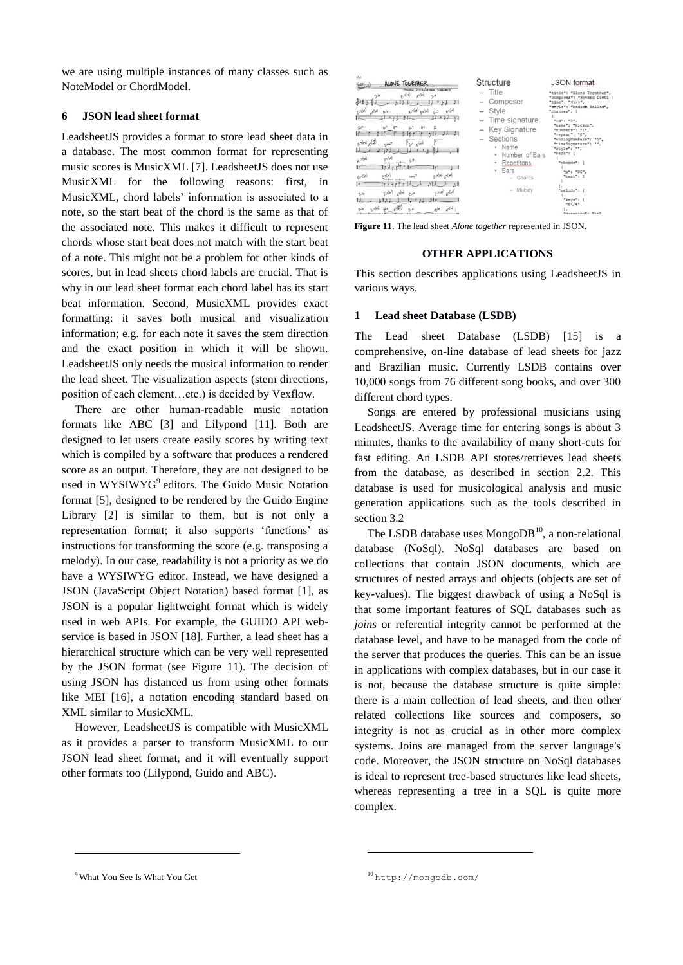we are using multiple instances of many classes such as NoteModel or ChordModel.

# **6 JSON lead sheet format**

LeadsheetJS provides a format to store lead sheet data in a database. The most common format for representing music scores is MusicXML [7]. LeadsheetJS does not use MusicXML for the following reasons: first, in MusicXML, chord labels' information is associated to a note, so the start beat of the chord is the same as that of the associated note. This makes it difficult to represent chords whose start beat does not match with the start beat of a note. This might not be a problem for other kinds of scores, but in lead sheets chord labels are crucial. That is why in our lead sheet format each chord label has its start beat information. Second, MusicXML provides exact formatting: it saves both musical and visualization information; e.g. for each note it saves the stem direction and the exact position in which it will be shown. LeadsheetJS only needs the musical information to render the lead sheet. The visualization aspects (stem directions, position of each element…etc.) is decided by Vexflow.

There are other human-readable music notation formats like ABC [3] and Lilypond [11]. Both are designed to let users create easily scores by writing text which is compiled by a software that produces a rendered score as an output. Therefore, they are not designed to be used in WYSIWYG<sup>9</sup> editors. The Guido Music Notation format [5], designed to be rendered by the Guido Engine Library [2] is similar to them, but is not only a representation format; it also supports 'functions' as instructions for transforming the score (e.g. transposing a melody). In our case, readability is not a priority as we do have a WYSIWYG editor. Instead, we have designed a JSON (JavaScript Object Notation) based format [1], as JSON is a popular lightweight format which is widely used in web APIs. For example, the GUIDO API webservice is based in JSON [18]. Further, a lead sheet has a hierarchical structure which can be very well represented by the JSON format (see Figure 11). The decision of using JSON has distanced us from using other formats like MEI [16], a notation encoding standard based on XML similar to MusicXML.

However, LeadsheetJS is compatible with MusicXML as it provides a parser to transform MusicXML to our JSON lead sheet format, and it will eventually support other formats too (Lilypond, Guido and ABC).

| 22<br>ALONE TOGETHER<br><b>MED.</b><br>- FINGER DIEYS ARTHUR SCHWARTZ<br>1700<br>$F - 7(15)$<br>$A^{-1}(\mathbb{W})$<br>D7(h)<br>(M)cn<br>$5 - 106$<br>67<br>Dile<br>$11 + M$ $61$<br>IJ<br>$H$ $h$<br>$\sigma$ .<br>$M_{\alpha}$<br>$G - 3$<br>6 <sup>n</sup><br>$B^{-1}$<br>$\alpha$<br>c<br>$\mathcal{N}$ $\mathcal{N}$<br>لقاه<br>c.olys)<br>$n_{R,7,8}$<br>$\mathfrak{g}_{\alpha\beta}(\mu)$<br>0.766<br>$6 - 7$<br>(w) re (W) - 3<br>6.7(k)<br>orlin<br>$F^{\mu\nu}$<br>$\mathbf{r}$ ,<br>$F_{22}(M)$ $F_{12}(M)$<br>5.7(k)<br>فارم<br>$0 - 6$ | Structure<br>Title<br>$\sim$<br>Composer<br>$\overline{\phantom{a}}$<br>Style<br>$\frac{1}{2}$<br>$-$ Time signature<br><b>Key Signature</b><br>$\qquad \qquad -$<br>Sections<br>$\overline{\phantom{a}}$<br>Name<br>Number of Bars<br>٠<br>Repetitons<br>٠<br>Bars<br>Chords<br>$\sim$<br>Melody<br>$\sim$ | <b>JSON</b> format<br>"title": "Alone Together",<br>"composer": "Howard Dietz<br>"time": "4\/4",<br>"style": "Medium Ballad",<br>"changes": [<br>"id": "0".<br>"name": "Pickup".<br>"numBars": "1",<br>"repeat": "0",<br>"endingNumBars":<br>"timeSignature": "",<br>"style": "".<br>"bars": [<br>"chords": [<br>"n": "NC",<br>"beat": 1<br>"melody": [ |
|------------------------------------------------------------------------------------------------------------------------------------------------------------------------------------------------------------------------------------------------------------------------------------------------------------------------------------------------------------------------------------------------------------------------------------------------------------------------------------------------------------------------------------------------------|-------------------------------------------------------------------------------------------------------------------------------------------------------------------------------------------------------------------------------------------------------------------------------------------------------------|---------------------------------------------------------------------------------------------------------------------------------------------------------------------------------------------------------------------------------------------------------------------------------------------------------------------------------------------------------|
| $\frac{1}{2}$<br>$\mathcal{O}(\frac{14}{15})$<br>$lnh -$<br>abc<br>$n_{\rm s}$                                                                                                                                                                                                                                                                                                                                                                                                                                                                       |                                                                                                                                                                                                                                                                                                             | "keys":<br>$B\14"$<br>$H_{\text{div} \nu \mathbf{a}}$ rian $H$                                                                                                                                                                                                                                                                                          |

**Figure 11**. The lead sheet *Alone together* represented in JSON.

### **OTHER APPLICATIONS**

This section describes applications using LeadsheetJS in various ways.

### **1 Lead sheet Database (LSDB)**

The Lead sheet Database (LSDB) [15] is a comprehensive, on-line database of lead sheets for jazz and Brazilian music. Currently LSDB contains over 10,000 songs from 76 different song books, and over 300 different chord types.

Songs are entered by professional musicians using LeadsheetJS. Average time for entering songs is about 3 minutes, thanks to the availability of many short-cuts for fast editing. An LSDB API stores/retrieves lead sheets from the database, as described in section 2.2. This database is used for musicological analysis and music generation applications such as the tools described in section 3.2

The LSDB database uses Mongo $DB<sup>10</sup>$ , a non-relational database (NoSql). NoSql databases are based on collections that contain JSON documents, which are structures of nested arrays and objects (objects are set of key-values). The biggest drawback of using a NoSql is that some important features of SQL databases such as *joins* or referential integrity cannot be performed at the database level, and have to be managed from the code of the server that produces the queries. This can be an issue in applications with complex databases, but in our case it is not, because the database structure is quite simple: there is a main collection of lead sheets, and then other related collections like sources and composers, so integrity is not as crucial as in other more complex systems. Joins are managed from the server language's code. Moreover, the JSON structure on NoSql databases is ideal to represent tree-based structures like lead sheets, whereas representing a tree in a SQL is quite more complex.

-

<sup>&</sup>lt;sup>9</sup> What You See Is What You Get

<sup>10</sup> <http://mongodb.com/>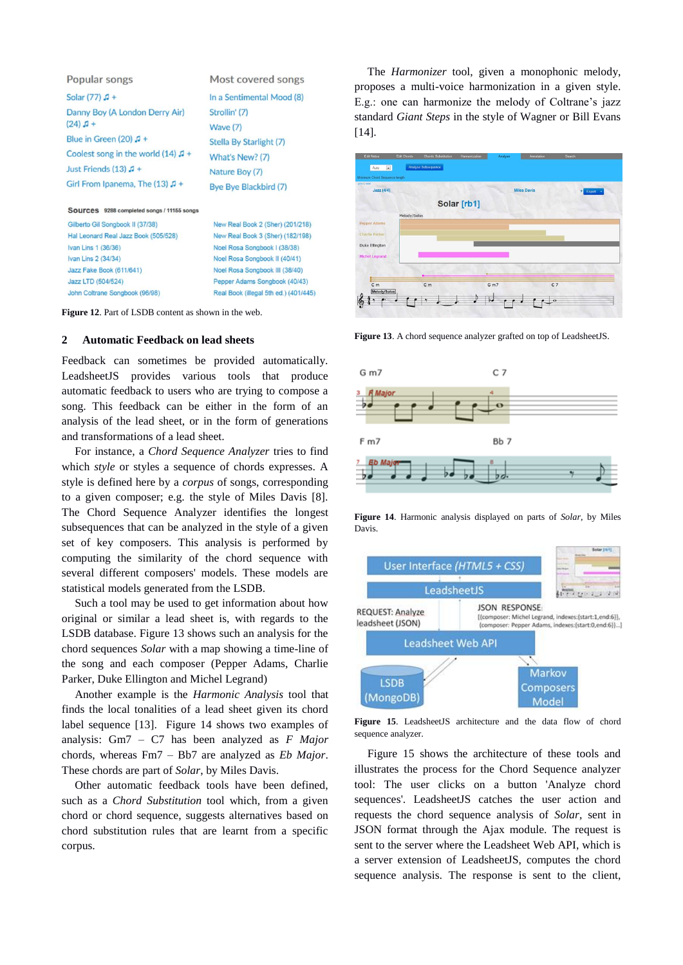| Popular songs                                 | Most covered songs        |
|-----------------------------------------------|---------------------------|
| Solar $(77)$ $\sqrt{1}$ +                     | In a Sentimental Mood (8) |
| Danny Boy (A London Derry Air)                | Strollin' (7)             |
| $(24) J +$                                    | Wave (7)                  |
| Blue in Green (20) $\sqrt{1}$ +               | Stella By Starlight (7)   |
| Coolest song in the world $(14)$ $\sqrt{1}$ + | What's New? (7)           |
| Just Friends (13) $\sqrt{1}$ +                | Nature Boy (7)            |
| Girl From Ipanema, The (13) $\sqrt{1}$ +      | Bye Bye Blackbird (7)     |
|                                               |                           |

#### Sources 9288 completed songs / 11155 songs

Gilberto Gil Songbook II (37/38) Hal Leonard Real Jazz Book (505/528) Ivan Lins 1 (36/36) Ivan Lins 2 (34/34) Jazz Fake Book (611/641) Jazz LTD (504/524) John Coltrane Songbook (96/98)

New Real Book 2 (Sher) (201/218) New Real Book 3 (Sher) (182/198) Noel Rosa Songbook I (38/38) Noel Rosa Songbook II (40/41) Noel Rosa Songbook III (38/40) Pepper Adams Songbook (40/43)

Real Book (illegal 5th ed.) (401/445)

**Figure 12**. Part of LSDB content as shown in the web.

### **2 Automatic Feedback on lead sheets**

Feedback can sometimes be provided automatically. LeadsheetJS provides various tools that produce automatic feedback to users who are trying to compose a song. This feedback can be either in the form of an analysis of the lead sheet, or in the form of generations and transformations of a lead sheet.

For instance, a *Chord Sequence Analyzer* tries to find which *style* or styles a sequence of chords expresses. A style is defined here by a *corpus* of songs, corresponding to a given composer; e.g. the style of Miles Davis [8]. The Chord Sequence Analyzer identifies the longest subsequences that can be analyzed in the style of a given set of key composers. This analysis is performed by computing the similarity of the chord sequence with several different composers' models. These models are statistical models generated from the LSDB.

Such a tool may be used to get information about how original or similar a lead sheet is, with regards to the LSDB database. Figure 13 shows such an analysis for the chord sequences *Solar* with a map showing a time-line of the song and each composer (Pepper Adams, Charlie Parker, Duke Ellington and Michel Legrand)

Another example is the *Harmonic Analysis* tool that finds the local tonalities of a lead sheet given its chord label sequence [13]. Figure 14 shows two examples of analysis: Gm7 – C7 has been analyzed as *F Major* chords, whereas Fm7 – Bb7 are analyzed as *Eb Major*. These chords are part of *Solar*, by Miles Davis.

Other automatic feedback tools have been defined, such as a *Chord Substitution* tool which, from a given chord or chord sequence, suggests alternatives based on chord substitution rules that are learnt from a specific corpus.

The *Harmonizer* tool, given a monophonic melody, proposes a multi-voice harmonization in a given style. E.g.: one can harmonize the melody of Coltrane's jazz standard *Giant Steps* in the style of Wagner or Bill Evans [14].



**Figure 13**. A chord sequence analyzer grafted on top of LeadsheetJS.



**Figure 14**. Harmonic analysis displayed on parts of *Solar*, by Miles Davis.



**Figure 15**. LeadsheetJS architecture and the data flow of chord sequence analyzer.

Figure 15 shows the architecture of these tools and illustrates the process for the Chord Sequence analyzer tool: The user clicks on a button 'Analyze chord sequences'. LeadsheetJS catches the user action and requests the chord sequence analysis of *Solar*, sent in JSON format through the Ajax module. The request is sent to the server where the Leadsheet Web API, which is a server extension of LeadsheetJS, computes the chord sequence analysis. The response is sent to the client,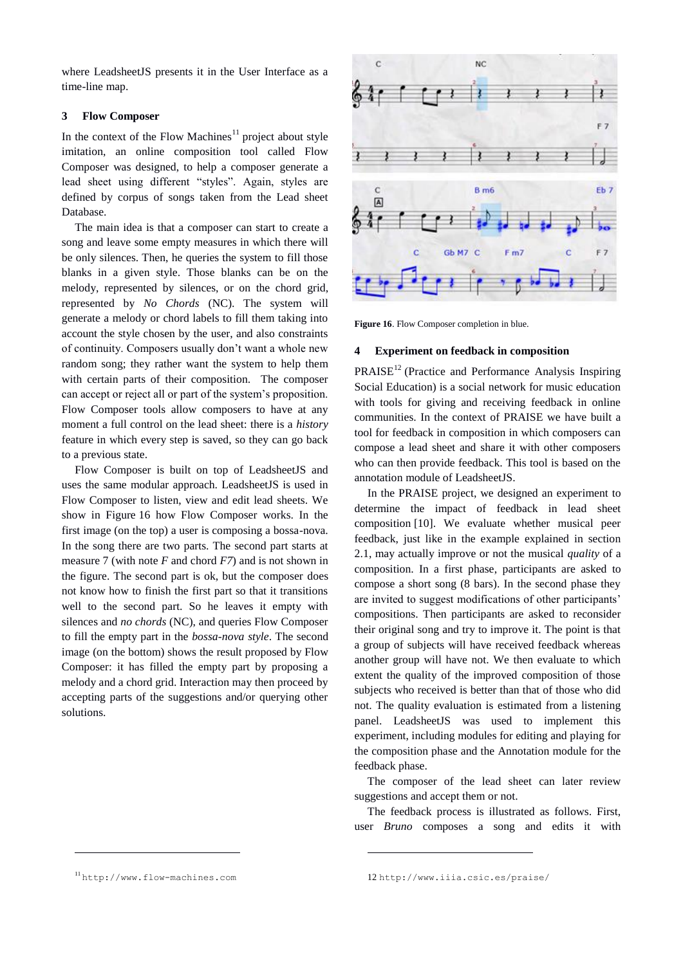where LeadsheetJS presents it in the User Interface as a time-line map.

### **3 Flow Composer**

In the context of the Flow Machines<sup>11</sup> project about style imitation, an online composition tool called Flow Composer was designed, to help a composer generate a lead sheet using different "styles". Again, styles are defined by corpus of songs taken from the Lead sheet Database.

The main idea is that a composer can start to create a song and leave some empty measures in which there will be only silences. Then, he queries the system to fill those blanks in a given style. Those blanks can be on the melody, represented by silences, or on the chord grid, represented by *No Chords* (NC). The system will generate a melody or chord labels to fill them taking into account the style chosen by the user, and also constraints of continuity. Composers usually don't want a whole new random song; they rather want the system to help them with certain parts of their composition. The composer can accept or reject all or part of the system's proposition. Flow Composer tools allow composers to have at any moment a full control on the lead sheet: there is a *history* feature in which every step is saved, so they can go back to a previous state.

Flow Composer is built on top of LeadsheetJS and uses the same modular approach. LeadsheetJS is used in Flow Composer to listen, view and edit lead sheets. We show in Figure 16 how Flow Composer works. In the first image (on the top) a user is composing a bossa-nova. In the song there are two parts. The second part starts at measure 7 (with note *F* and chord *F7*) and is not shown in the figure. The second part is ok, but the composer does not know how to finish the first part so that it transitions well to the second part. So he leaves it empty with silences and *no chords* (NC), and queries Flow Composer to fill the empty part in the *bossa-nova style*. The second image (on the bottom) shows the result proposed by Flow Composer: it has filled the empty part by proposing a melody and a chord grid. Interaction may then proceed by accepting parts of the suggestions and/or querying other solutions.



**Figure 16**. Flow Composer completion in blue.

# **4 Experiment on feedback in composition**

 $PRAISE<sup>12</sup>$  (Practice and Performance Analysis Inspiring Social Education) is a social network for music education with tools for giving and receiving feedback in online communities. In the context of PRAISE we have built a tool for feedback in composition in which composers can compose a lead sheet and share it with other composers who can then provide feedback. This tool is based on the annotation module of LeadsheetJS.

In the PRAISE project, we designed an experiment to determine the impact of feedback in lead sheet composition [10]. We evaluate whether musical peer feedback, just like in the example explained in section 2.1, may actually improve or not the musical *quality* of a composition. In a first phase, participants are asked to compose a short song (8 bars). In the second phase they are invited to suggest modifications of other participants' compositions. Then participants are asked to reconsider their original song and try to improve it. The point is that a group of subjects will have received feedback whereas another group will have not. We then evaluate to which extent the quality of the improved composition of those subjects who received is better than that of those who did not. The quality evaluation is estimated from a listening panel. LeadsheetJS was used to implement this experiment, including modules for editing and playing for the composition phase and the Annotation module for the feedback phase.

The composer of the lead sheet can later review suggestions and accept them or not.

The feedback process is illustrated as follows. First, user *Bruno* composes a song and edits it with

-

<sup>11</sup> [http://www.flow-machines.com](http://www.flow-machines.com/)

<sup>12</sup> <http://www.iiia.csic.es/praise/>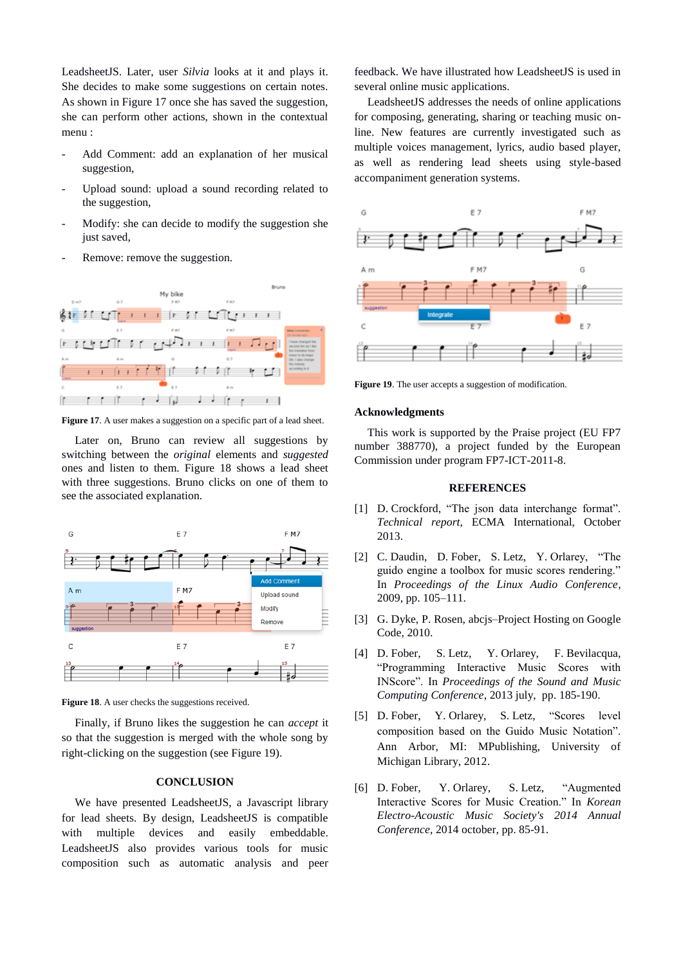LeadsheetJS. Later, user *Silvia* looks at it and plays it. She decides to make some suggestions on certain notes. As shown in Figure 17 once she has saved the suggestion, she can perform other actions, shown in the contextual menu :

- Add Comment: add an explanation of her musical suggestion,
- Upload sound: upload a sound recording related to the suggestion,
- Modify: she can decide to modify the suggestion she just saved.
- Remove: remove the suggestion.



Figure 17. A user makes a suggestion on a specific part of a lead sheet.

Later on, Bruno can review all suggestions by switching between the *original* elements and *suggested*  ones and listen to them. Figure 18 shows a lead sheet with three suggestions. Bruno clicks on one of them to see the associated explanation.



Figure 18. A user checks the suggestions received.

Finally, if Bruno likes the suggestion he can *accept* it so that the suggestion is merged with the whole song by right-clicking on the suggestion (see Figure 19).

# **CONCLUSION**

We have presented LeadsheetJS, a Javascript library for lead sheets. By design, LeadsheetJS is compatible with multiple devices and easily embeddable. LeadsheetJS also provides various tools for music composition such as automatic analysis and peer feedback. We have illustrated how LeadsheetJS is used in several online music applications.

LeadsheetJS addresses the needs of online applications for composing, generating, sharing or teaching music online. New features are currently investigated such as multiple voices management, lyrics, audio based player, as well as rendering lead sheets using style-based accompaniment generation systems.



**Figure 19**. The user accepts a suggestion of modification.

## **Acknowledgments**

This work is supported by the Praise project (EU FP7 number 388770), a project funded by the European Commission under program FP7-ICT-2011-8.

### **REFERENCES**

- [1] D. Crockford, "The json data interchange format". *Technical report*, ECMA International, October 2013.
- [2] C. Daudin, D. Fober, S. Letz, Y. Orlarey, "The guido engine a toolbox for music scores rendering." In *Proceedings of the Linux Audio Conference*, 2009, pp. 105–111.
- [3] G. Dyke, P. Rosen, abcjs–Project Hosting on Google Code, 2010.
- [4] D. Fober, S. Letz, Y. Orlarey, F. Bevilacqua, "Programming Interactive Music Scores with INScore". In *Proceedings of the Sound and Music Computing Conference*, 2013 july, pp. 185-190.
- [5] D. Fober, Y. Orlarey, S. Letz, "Scores level composition based on the Guido Music Notation". Ann Arbor, MI: MPublishing, University of Michigan Library, 2012.
- [6] D. Fober, Y. Orlarey, S. Letz, "Augmented Interactive Scores for Music Creation." In *Korean Electro-Acoustic Music Society's 2014 Annual Conference*, 2014 october, pp. 85-91.